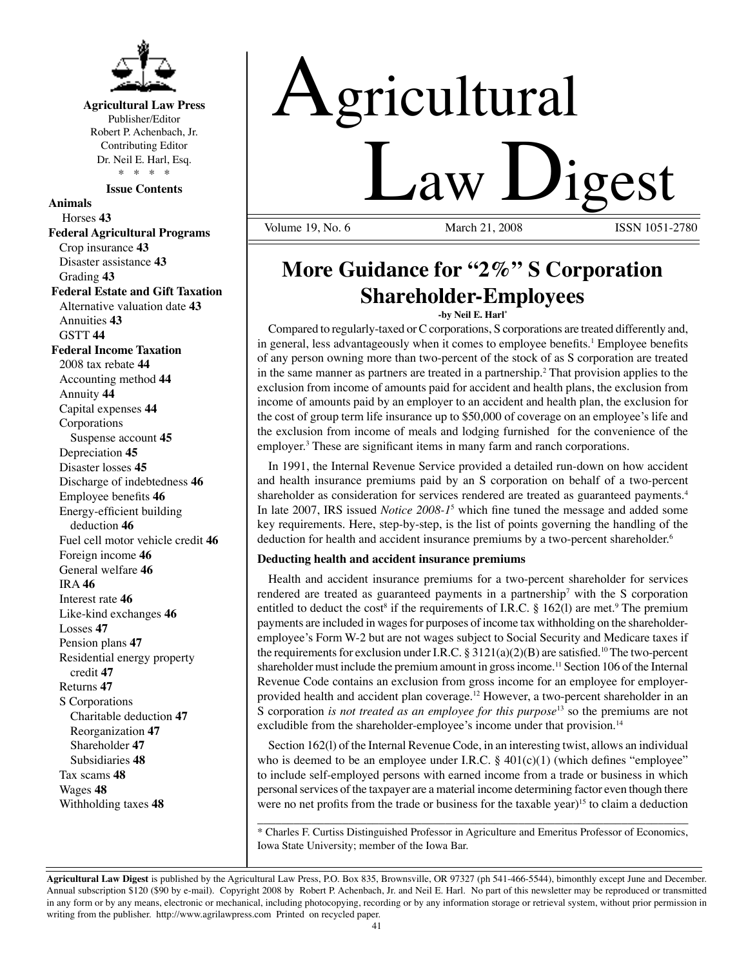

**Agricultural Law Press** Publisher/Editor Robert P. Achenbach, Jr. Contributing Editor Dr. Neil E. Harl, Esq. \* \* \* \*

**Issue Contents**

**Animals** Horses **43 Federal Agricultural Programs** Crop insurance **43** Disaster assistance **43** Grading **43 Federal Estate and Gift Taxation** Alternative valuation date **43** Annuities **43** GSTT **44 Federal Income Taxation** 2008 tax rebate **44** Accounting method **44** Annuity **44** Capital expenses **44** Corporations Suspense account **45** Depreciation **45** Disaster losses **45** Discharge of indebtedness **46** Employee benefits **46** Energy-efficient building deduction **46** Fuel cell motor vehicle credit **46** Foreign income **46** General welfare **46** IRA **46** Interest rate **46** Like-kind exchanges **46** Losses **47** Pension plans **47** Residential energy property credit **47** Returns **47** S Corporations Charitable deduction **47** Reorganization **47** Shareholder **47** Subsidiaries **48** Tax scams **48** Wages **48** Withholding taxes **48**

# Agricultural <u>Law Digest</u>

Volume 19, No. 6

## **More Guidance for "2%" S Corporation Shareholder-Employees**

**-by Neil E. Harl\***

Compared to regularly-taxed or C corporations, S corporations are treated differently and, in general, less advantageously when it comes to employee benefits.<sup>1</sup> Employee benefits of any person owning more than two-percent of the stock of as S corporation are treated in the same manner as partners are treated in a partnership.<sup>2</sup> That provision applies to the exclusion from income of amounts paid for accident and health plans, the exclusion from income of amounts paid by an employer to an accident and health plan, the exclusion for the cost of group term life insurance up to \$50,000 of coverage on an employee's life and the exclusion from income of meals and lodging furnished for the convenience of the employer.<sup>3</sup> These are significant items in many farm and ranch corporations.

In 1991, the Internal Revenue Service provided a detailed run-down on how accident and health insurance premiums paid by an S corporation on behalf of a two-percent shareholder as consideration for services rendered are treated as guaranteed payments.4 In late 2007, IRS issued *Notice 2008-1*<sup>5</sup> which fine tuned the message and added some key requirements. Here, step-by-step, is the list of points governing the handling of the deduction for health and accident insurance premiums by a two-percent shareholder.<sup>6</sup>

### **Deducting health and accident insurance premiums**

Health and accident insurance premiums for a two-percent shareholder for services rendered are treated as guaranteed payments in a partnership<sup>7</sup> with the S corporation entitled to deduct the cost<sup>8</sup> if the requirements of I.R.C.  $\S$  162(1) are met.<sup>9</sup> The premium payments are included in wages for purposes of income tax withholding on the shareholderemployee's Form W-2 but are not wages subject to Social Security and Medicare taxes if the requirements for exclusion under I.R.C. § 3121(a)(2)(B) are satisfied.<sup>10</sup> The two-percent shareholder must include the premium amount in gross income.<sup>11</sup> Section 106 of the Internal Revenue Code contains an exclusion from gross income for an employee for employerprovided health and accident plan coverage.<sup>12</sup> However, a two-percent shareholder in an S corporation *is not treated as an employee for this purpose*13 so the premiums are not excludible from the shareholder-employee's income under that provision.<sup>14</sup>

Section 162(l) of the Internal Revenue Code, in an interesting twist, allows an individual who is deemed to be an employee under I.R.C.  $\S$  401(c)(1) (which defines "employee" to include self-employed persons with earned income from a trade or business in which personal services of the taxpayer are a material income determining factor even though there were no net profits from the trade or business for the taxable year)<sup>15</sup> to claim a deduction

\_\_\_\_\_\_\_\_\_\_\_\_\_\_\_\_\_\_\_\_\_\_\_\_\_\_\_\_\_\_\_\_\_\_\_\_\_\_\_\_\_\_\_\_\_\_\_\_\_\_\_\_\_\_\_\_\_\_\_\_\_\_\_\_\_\_\_\_\_\_\_ \* Charles F. Curtiss Distinguished Professor in Agriculture and Emeritus Professor of Economics, Iowa State University; member of the Iowa Bar.

**Agricultural Law Digest** is published by the Agricultural Law Press, P.O. Box 835, Brownsville, OR 97327 (ph 541-466-5544), bimonthly except June and December. Annual subscription \$120 (\$90 by e-mail). Copyright 2008 by Robert P. Achenbach, Jr. and Neil E. Harl. No part of this newsletter may be reproduced or transmitted in any form or by any means, electronic or mechanical, including photocopying, recording or by any information storage or retrieval system, without prior permission in writing from the publisher. http://www.agrilawpress.com Printed on recycled paper.